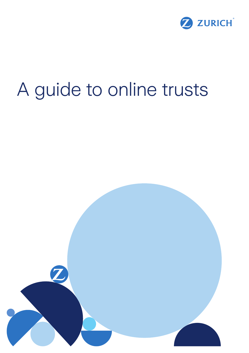

# A guide to online trusts

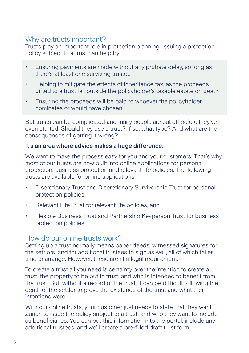# Why are trusts important?

Trusts play an important role in protection planning. Issuing a protection policy subject to a trust can help by:

- Ensuring payments are made without any probate delay, so long as there's at least one surviving trustee
- Helping to mitigate the effects of inheritance tax, as the proceeds gifted to a trust fall outside the policyholder's taxable estate on death
- Ensuring the proceeds will be paid to whoever the policyholder nominates or would have chosen.

But trusts can be complicated and many people are put off before they've even started. Should they use a trust? If so, what type? And what are the consequences of getting it wrong?

#### It's an area where advice makes a huge difference.

We want to make the process easy for you and your customers. That's why most of our trusts are now built into online applications for personal protection, business protection and relevant life policies. The following trusts are available for online applications:

- Discretionary Trust and Discretionary Survivorship Trust for personal protection policies,
- Relevant Life Trust for relevant life policies, and
- Flexible Business Trust and Partnership Keyperson Trust for business protection policies.

### How do our online trusts work?

Setting up a trust normally means paper deeds, witnessed signatures for the settlors, and for additional trustees to sign as well, all of which takes time to arrange. However, these aren't a legal requirement.

To create a trust all you need is certainty over the intention to create a trust, the property to be put in trust, and who is intended to benefit from the trust. But, without a record of the trust, it can be difficult following the death of the settlor to prove the existence of the trust and what their intentions were.

With our online trusts, your customer just needs to state that they want Zurich to issue the policy subject to a trust, and who they want to include as beneficiaries. You can put this information into the portal, include any additional trustees, and we'll create a pre-filled draft trust form.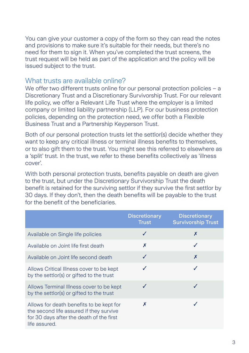You can give your customer a copy of the form so they can read the notes and provisions to make sure it's suitable for their needs, but there's no need for them to sign it. When you've completed the trust screens, the trust request will be held as part of the application and the policy will be issued subject to the trust.

### What trusts are available online?

We offer two different trusts online for our personal protection policies – a Discretionary Trust and a Discretionary Survivorship Trust. For our relevant life policy, we offer a Relevant Life Trust where the employer is a limited company or limited liability partnership (LLP). For our business protection policies, depending on the protection need, we offer both a Flexible Business Trust and a Partnership Keyperson Trust.

Both of our personal protection trusts let the settlor(s) decide whether they want to keep any critical illness or terminal illness benefits to themselves, or to also gift them to the trust. You might see this referred to elsewhere as a 'split' trust. In the trust, we refer to these benefits collectively as 'illness cover'.

With both personal protection trusts, benefits payable on death are given to the trust, but under the Discretionary Survivorship Trust the death benefit is retained for the surviving settlor if they survive the first settlor by 30 days. If they don't, then the death benefits will be payable to the trust for the benefit of the beneficiaries.

|                                                                                                                                                  | <b>Discretionary</b><br><b>Trust</b> | <b>Discretionary</b><br><b>Survivorship Trust</b> |
|--------------------------------------------------------------------------------------------------------------------------------------------------|--------------------------------------|---------------------------------------------------|
| Available on Single life policies                                                                                                                | ✓                                    | X                                                 |
| Available on Joint life first death                                                                                                              | X                                    |                                                   |
| Available on Joint life second death                                                                                                             | J                                    | X                                                 |
| Allows Critical Illness cover to be kept<br>by the settlor(s) or gifted to the trust                                                             |                                      | J                                                 |
| Allows Terminal Illness cover to be kept<br>by the settlor(s) or gifted to the trust                                                             |                                      |                                                   |
| Allows for death benefits to be kept for<br>the second life assured if they survive<br>for 30 days after the death of the first<br>life assured. | X                                    |                                                   |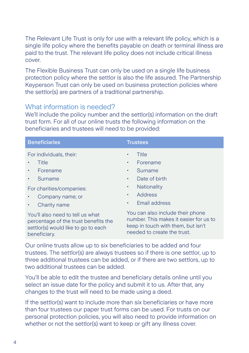The Relevant Life Trust is only for use with a relevant life policy, which is a single life policy where the benefits payable on death or terminal illness are paid to the trust. The relevant life policy does not include critical illness cover.

The Flexible Business Trust can only be used on a single life business protection policy where the settlor is also the life assured. The Partnership Keyperson Trust can only be used on business protection policies where the settlor(s) are partners of a traditional partnership.

# What information is needed?

We'll include the policy number and the settlor(s) information on the draft trust form. For all of our online trusts the following information on the beneficiaries and trustees will need to be provided:

| <b>Beneficiaries</b>                                                                                                            | <b>Trustees</b>                                                                                                                                 |  |
|---------------------------------------------------------------------------------------------------------------------------------|-------------------------------------------------------------------------------------------------------------------------------------------------|--|
| For individuals, their:                                                                                                         | Title<br>٠                                                                                                                                      |  |
| Title                                                                                                                           | Forename<br>٠                                                                                                                                   |  |
| Forename                                                                                                                        | Surname<br>٠                                                                                                                                    |  |
| Surname<br>٠                                                                                                                    | Date of birth<br>٠                                                                                                                              |  |
| For charities/companies:                                                                                                        | Nationality<br>٠                                                                                                                                |  |
| Company name; or<br>٠                                                                                                           | Address<br>٠                                                                                                                                    |  |
| Charity name<br>٠                                                                                                               | Email address<br>٠                                                                                                                              |  |
| You'll also need to tell us what<br>percentage of the trust benefits the<br>settlor(s) would like to go to each<br>beneficiary. | You can also include their phone<br>number. This makes it easier for us to<br>keep in touch with them, but isn't<br>needed to create the trust. |  |

Our online trusts allow up to six beneficiaries to be added and four trustees. The settlor(s) are always trustees so if there is one settlor, up to three additional trustees can be added, or if there are two settlors, up to two additional trustees can be added.

You'll be able to edit the trustee and beneficiary details online until you select an issue date for the policy and submit it to us. After that, any changes to the trust will need to be made using a deed.

If the settlor(s) want to include more than six beneficiaries or have more than four trustees our paper trust forms can be used. For trusts on our personal protection policies, you will also need to provide information on whether or not the settlor(s) want to keep or gift any illness cover.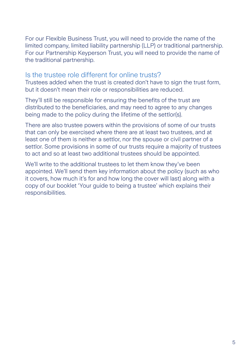For our Flexible Business Trust, you will need to provide the name of the limited company, limited liability partnership (LLP) or traditional partnership. For our Partnership Keyperson Trust, you will need to provide the name of the traditional partnership.

## Is the trustee role different for online trusts?

Trustees added when the trust is created don't have to sign the trust form, but it doesn't mean their role or responsibilities are reduced.

They'll still be responsible for ensuring the benefits of the trust are distributed to the beneficiaries, and may need to agree to any changes being made to the policy during the lifetime of the settlor(s).

There are also trustee powers within the provisions of some of our trusts that can only be exercised where there are at least two trustees, and at least one of them is neither a settlor, nor the spouse or civil partner of a settlor. Some provisions in some of our trusts require a majority of trustees to act and so at least two additional trustees should be appointed.

We'll write to the additional trustees to let them know they've been appointed. We'll send them key information about the policy (such as who it covers, how much it's for and how long the cover will last) along with a copy of our booklet 'Your guide to being a trustee' which explains their responsibilities.